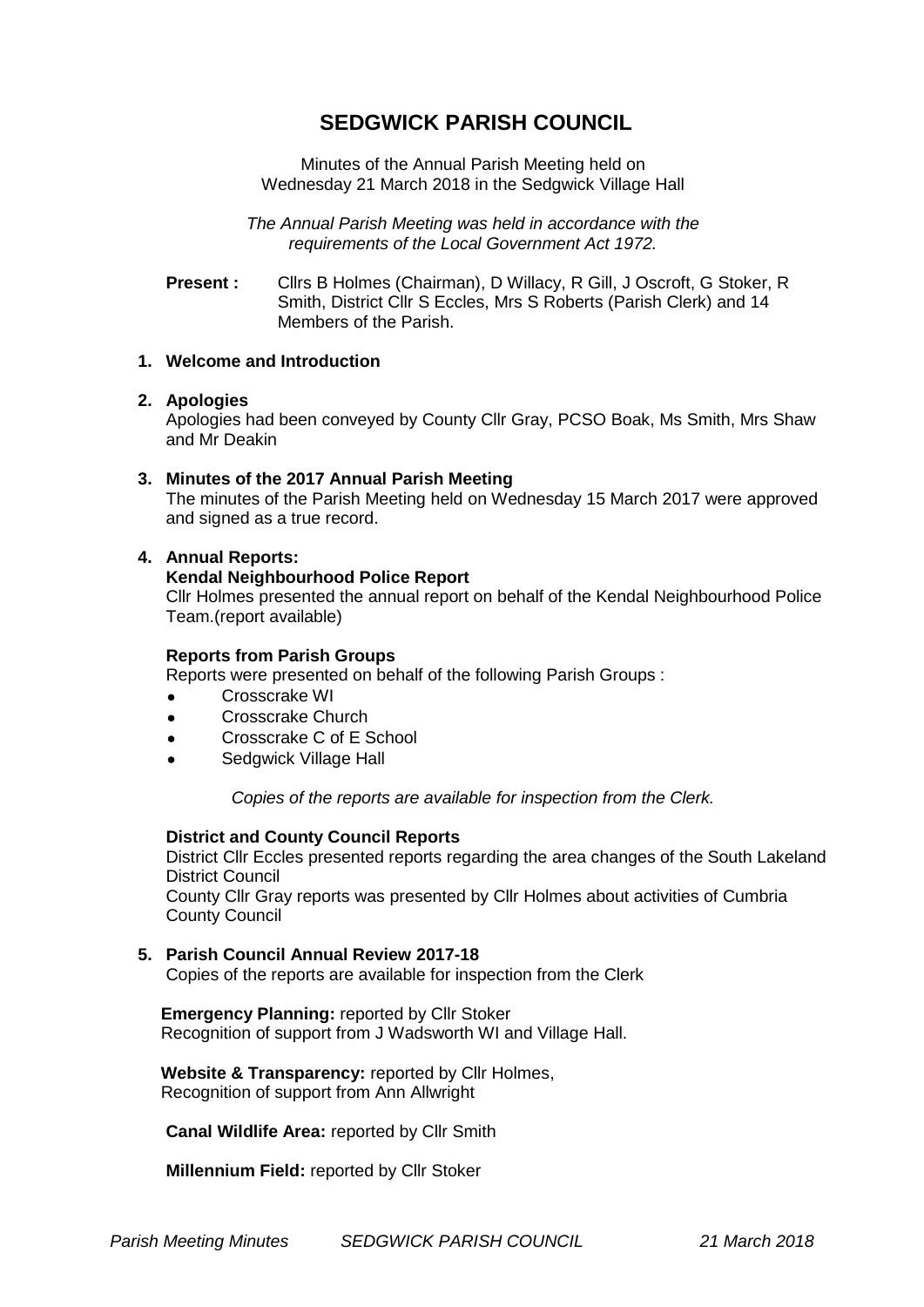# **SEDGWICK PARISH COUNCIL**

Minutes of the Annual Parish Meeting held on Wednesday 21 March 2018 in the Sedgwick Village Hall

*The Annual Parish Meeting was held in accordance with the requirements of the Local Government Act 1972.*

**Present :** Cllrs B Holmes (Chairman), D Willacy, R Gill, J Oscroft, G Stoker, R Smith, District Cllr S Eccles, Mrs S Roberts (Parish Clerk) and 14 Members of the Parish.

# **1. Welcome and Introduction**

# **2. Apologies**

Apologies had been conveyed by County Cllr Gray, PCSO Boak, Ms Smith, Mrs Shaw and Mr Deakin

## **3. Minutes of the 2017 Annual Parish Meeting**

The minutes of the Parish Meeting held on Wednesday 15 March 2017 were approved and signed as a true record.

## **4. Annual Reports:**

# **Kendal Neighbourhood Police Report**

Cllr Holmes presented the annual report on behalf of the Kendal Neighbourhood Police Team.(report available)

## **Reports from Parish Groups**

Reports were presented on behalf of the following Parish Groups :

- Crosscrake WI
- Crosscrake Church
- Crosscrake C of E School
- Sedgwick Village Hall

*Copies of the reports are available for inspection from the Clerk.*

#### **District and County Council Reports**

District Cllr Eccles presented reports regarding the area changes of the South Lakeland District Council County Cllr Gray reports was presented by Cllr Holmes about activities of Cumbria

County Council

#### **5. Parish Council Annual Review 2017-18**

Copies of the reports are available for inspection from the Clerk

 **Emergency Planning:** reported by Cllr Stoker Recognition of support from J Wadsworth WI and Village Hall.

 **Website & Transparency:** reported by Cllr Holmes, Recognition of support from Ann Allwright

**Canal Wildlife Area:** reported by Cllr Smith

**Millennium Field:** reported by Cllr Stoker